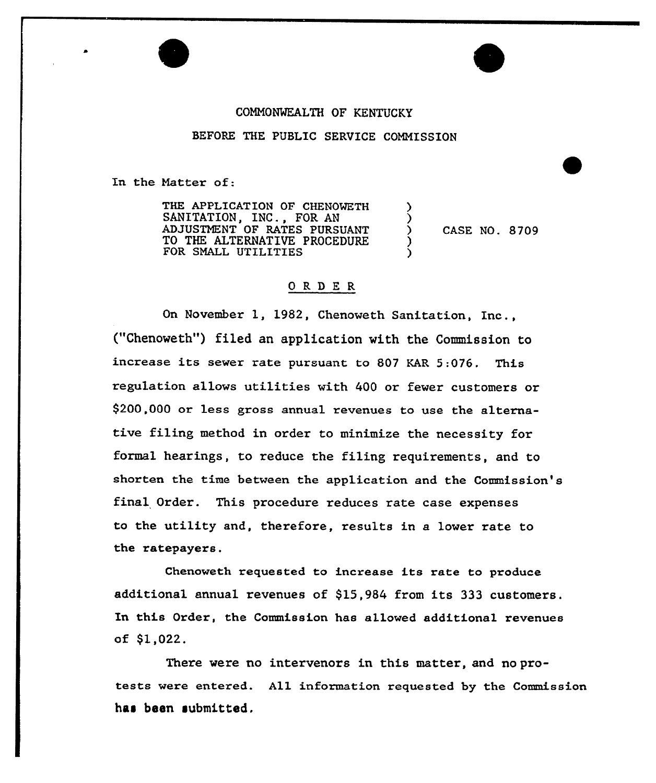# COMMONWEALTH OF KENTUCKY

# BEFORE THE PUBLIC SERVICE COMMISSION

In the Natter of:

THE APPLICATION OF CHENOMETH SANITATION, INC., FOR AN ADJUSTNENT OF RATES PURSUANT TO THE ALTERNATIVE PROCEDURE FOR SNALL UTILITIES

) CASE NO. 8709

 $\overline{\mathbf{y}}$ )

) )

# ORDER

On November 1, 1982, Chenoweth Sanitation, Inc., ("Chenoweth") filed an application with the Commission to increase its sewer rate pursuant to <sup>807</sup> EAR 5:076. This regulation allows utilities with 400 ox fewer customers or \$200,000 ox less gross annual revenues to use the alternative filing method in order to minimize the necessity for formal hearings, to reduce the filing requirements, and to shorten the time between the application and the Commission's final Order. This procedure reduces rate case expenses to the utility and, thexefore, results in a lower xate to the ratepayers.

Chenoweth requested to increase its rate to produce additional annual revenues of \$15,984 from its 333 customers. In this Order, the Commission has allowed additional revenues of \$1,022.

There were no intervenors in this matter, and noprotests were entered. All information requested by the Commission has been submitted.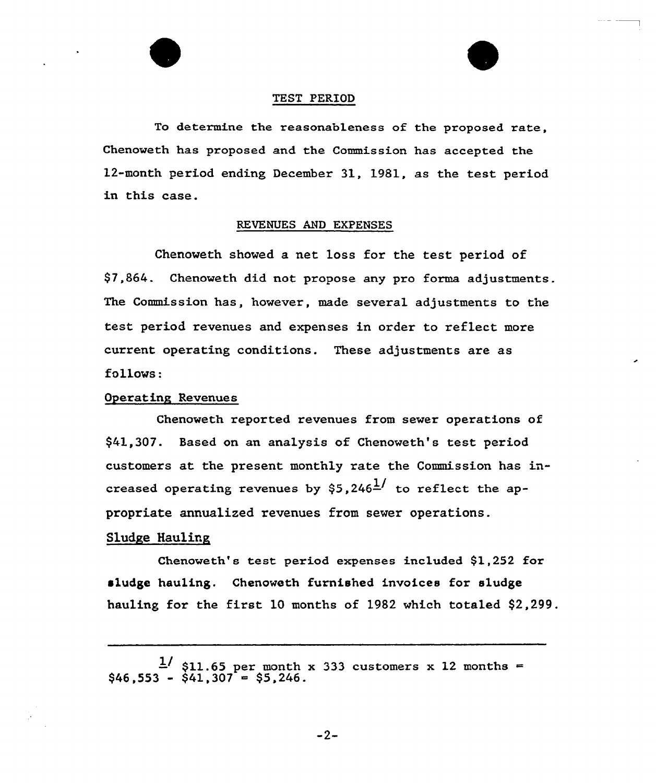

#### TEST PERIOD

To determine the reasonableness of the proposed rate, Chenoweth has proposed and the Commission has accepted the 12-month period ending December 31, 1981, as the test period in this case.

# REVENUES AND EXPENSES

Chenoweth showed a net loss for the test period of 97,864. Chenoweth did not propose any pro forma adjustments. The Commission has, however, made several adjustments to the test period revenues and expenses in order to reflect more current operating conditions. These adjustments are as f011ows:

# Operating Revenues

Ghenoweth reported revenues from sewer operations of \$41,307. Based on an analysis of Chenoveth's test period customers at the present monthly rate the Commission has increased operating revenues by  $$5,246^{\frac{1}{1}}$$  to reflect the appropriate annualized revenues from sewer operations.

## Sludge Hauling

Chenoweth's test period expenses included \$1,252 for sludge hauling. Chenoweth furnished invoices for s1udge hauling for the first 10 months of 1982 which totaled \$2,299.

 $-2-$ 

 $\frac{1}{3}$  \$11.65 per month x 333 customers x 12 month<br>\$46,553 - \$41,307 = \$5,246.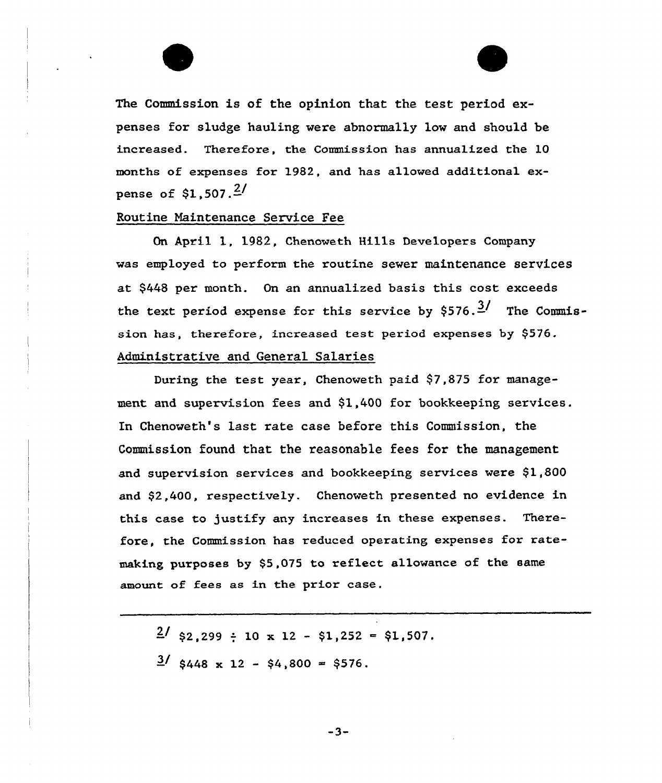

## Routine Maintenance Service Fee

On April 1, 1982, Chenoweth Hills Developers Company was employed to perform the routine sewer maintenance services at \$448 per month. On an annualized basis this cost exceeds the text period expense for this service by  $$576.\frac{3}{7}$  The Commission has, therefore, increased test period expenses by \$576. Administrative and General Salaries

During the test year, Chenoweth paid \$7,875 for management and supervision fees and \$1,400 for bookkeeping services. In Chenoweth's last rate case before this Commission, the Commission found that the reasonable fees for the management and supervision services and bookkeeping services were \$1,800 and \$2,400, respectively. Chenoweth presented no evidence in this case to justify any increases in these expenses. Therefore, the Commission has reduced operating expenses for ratemaking purposes by \$5,075 to reflect allowance of the same amount of fees as in the prior case.

 $\frac{2}{32}$ , 299 : 10 x 12 - \$1,252 = \$1,507.  $\frac{3}{5448}$  x 12 - \$4,800 = \$576.

 $-3-$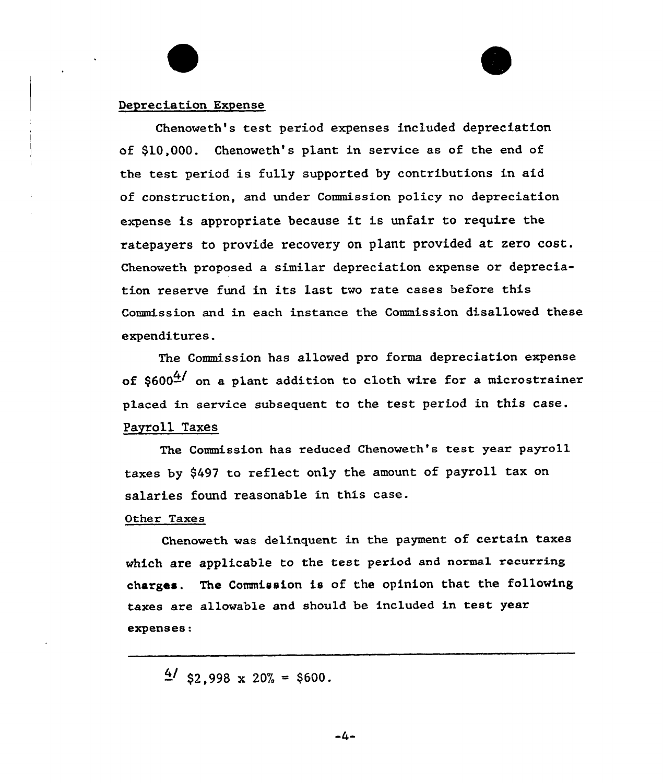## Depreciation Expense

Chenoweth's test period expenses included depreciation of \$10,000. Chenoweth's plant in service as of the end of the test period is fully supported by contributions in aid of construction, and under Commission policy no depreciation expense is appropriate because it is unfair to require the ratepayers to provide recovery on plant provided at zero cost. Chenoweth proposed a similar depreciation expense or depreciation reserve fund in its last two rate cases befoxe this Commission and in each instance the Commission disallowed these expenditures.

The Commission has allowed pro forma depreciation expense of  $$600<sup>4</sup>$  on a plant addition to cloth wire for a microstrainer placed in service subsequent to the test period in this case. Payroll Taxes

The Commission has reduced Chenoweth's test year payroll taxes by \$497 to reflect only the amount of payroll tax on salaries found reasonable in this case.

# Other Taxes

Chenoweth was delinquent in the payment of certain taxes which are applicable to the test period and normal recurring charges. The Commission is of the opinion that the following taxes are allowable and should be included in test year expenses:

 $\frac{4}{}{}$  \$2,998 x 20% = \$600.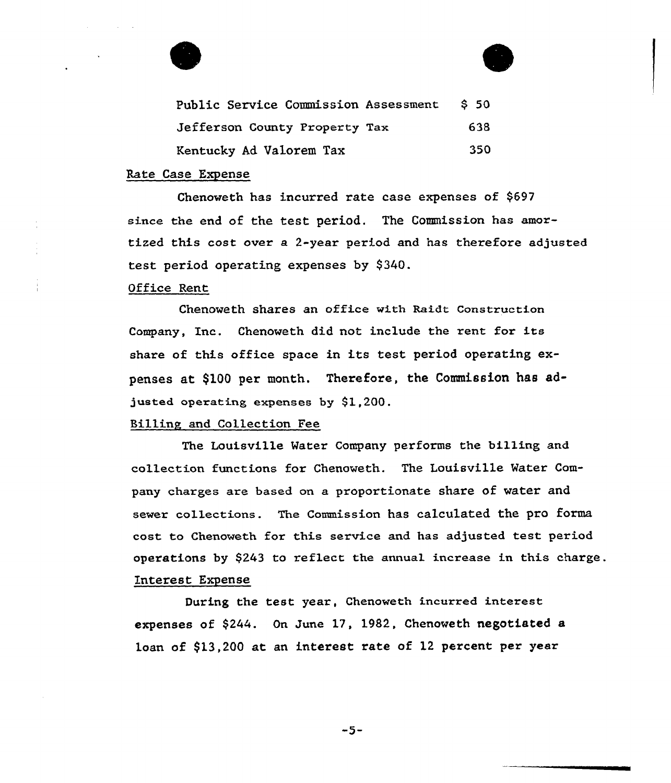



# Rate Case Expense

Chenoweth has incurred rate case expenses of \$697 since the end of the test period. The Commission has amortized this cost over a 2-year period and has therefore adjusted test period operating expenses by \$340.

# Office Rent

Chenoweth shares an office with Raidt Construction Company, Inc. Chenoweth did not include the rent for its share of this office space in its test period operating expenses at \$100 per month. Therefore, the Commission has adjusted operating expenses by  $$1,200$ .

# Billing and Collection Fee

The Louisville Mater Company performs the billing and collection functions for Chenoweth. The Louisville Water Company charges are based on a proportionate share of water and sewer collections. The Commission has calculated the pro forma cost. to Chenoweth for this service and has adjusted test period operations by \$243 to reflect the annual increase in this charge. Interest Expense

During the test year, Chenoweth incurred interest expenses of \$244. On June 17, 1982, Chenoweth negotiated a loan of \$13,200 at an interest rate of 12 percent per year

 $-5-$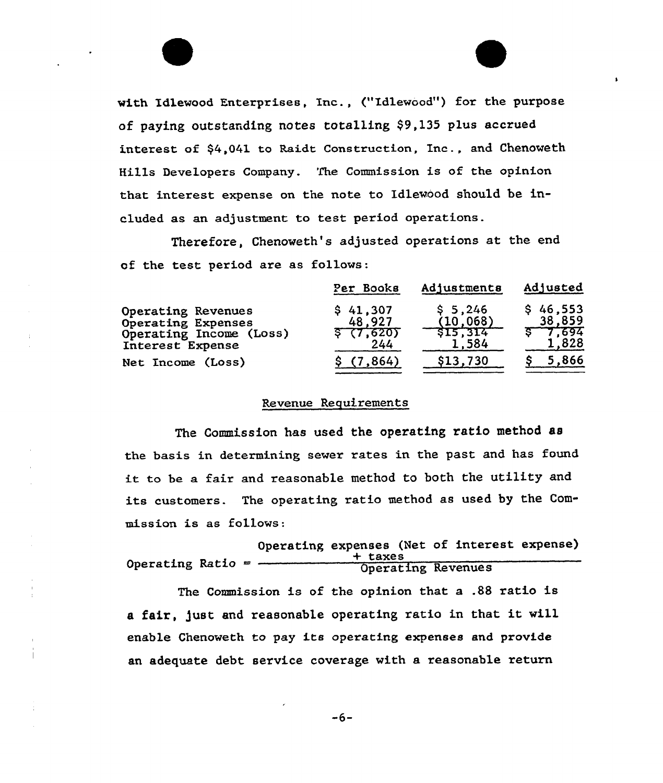with Idlewood Enterpxises, Inc., ("Idlewood") for the purpose of paying outstanding notes totalling \$9,135 plus accxued interest of \$4,041 to Raidt Construction, Inc., and Chenoweth Hills Developers Company. The Commission is of the opinion that interest expense on the note to Idlewood should be included as an adjustment to test period operations.

Therefore, Chenoweth's adjusted operations at the end of the test period are as follows:

|                                                                                         | Per Books                              | Adjustments                              | Adjusted                                   |  |
|-----------------------------------------------------------------------------------------|----------------------------------------|------------------------------------------|--------------------------------------------|--|
| Operating Revenues<br>Operating Expenses<br>Operating Income (Loss)<br>Interest Expense | \$41,307<br>48.927<br>\$(7,620)<br>244 | \$5,246<br>(10, 068)<br>515,314<br>1,584 | \$46,553<br>38,859<br>$5 - 7.694$<br>1,828 |  |
| Net Income (Loss)                                                                       | \$(7.864)                              | \$13,730                                 | 5,866                                      |  |

# Revenue Requirements

The Commission has used the operating ratio method as the basis in detexmining sewex rates in the past and has found it to be <sup>a</sup> fair and reasonable method to both the utility and its customers. The operating ratio method as used by the Commission is as follows:

|                     |  | Operating expenses (Net of interest expense) |                    |  |  |
|---------------------|--|----------------------------------------------|--------------------|--|--|
| Operating Ratio $=$ |  | + taxes                                      |                    |  |  |
|                     |  |                                              | Operating Revenues |  |  |

The Commission is of the opinion that a .88 ratio is <sup>a</sup> fair, just and reasonable operating ratio in that it will enable Chenoweth to pay its operating expenses and provide an adequate debt service coverage with a reasonable return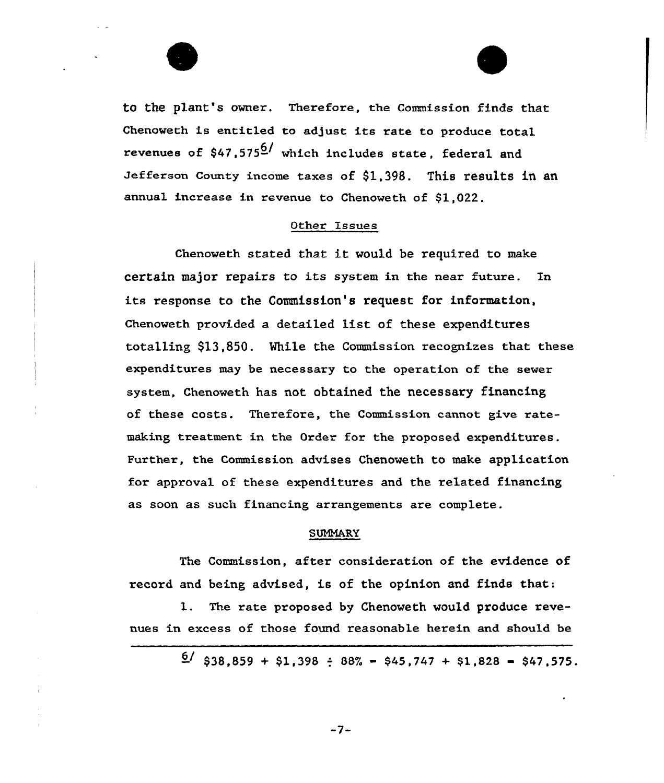

to the plant's owner. Therefore, the Commission finds that Chenoweth is entitled to adjust its rate to produce total revenues of  $$47,575^{6/}$  which includes state, federal and Jefferson County income taxes of \$1,398. This results in an annual increase in revenue to Chenoweth of \$1,022.

# Other issues

Chenoweth stated that it would be required to make certain major repairs to its system in the near future. Tn its response to the Commission's request for information, Chenoweth provided. a detailed list of these expenditures totalling \$13,850. Mhile the Commission recognizes that these expenditures may be necessary to the operation of the sewer system, Chenoweth has not obtained the necessary financing of these costs. Therefore, the Commission cannot give ratemaking treatment in the Order for the proposed expenditures. Further, the Commission advises Chenoweth to make application for approval of these expenditures and the related financing as soon as such financing arrangements are complete.

# SUMMARY

The Commission, after consideration of the evidence of record and being advised, is of the opinion and finds that:

l. The rate proposed by Chenoweth would produce revenues in excess of those found reasonable herein and should be

 $\frac{6}{}{38,859 + $1,398 \div 88\% - $45,747 + $1,828 - $47,575.}$ 

 $-7-$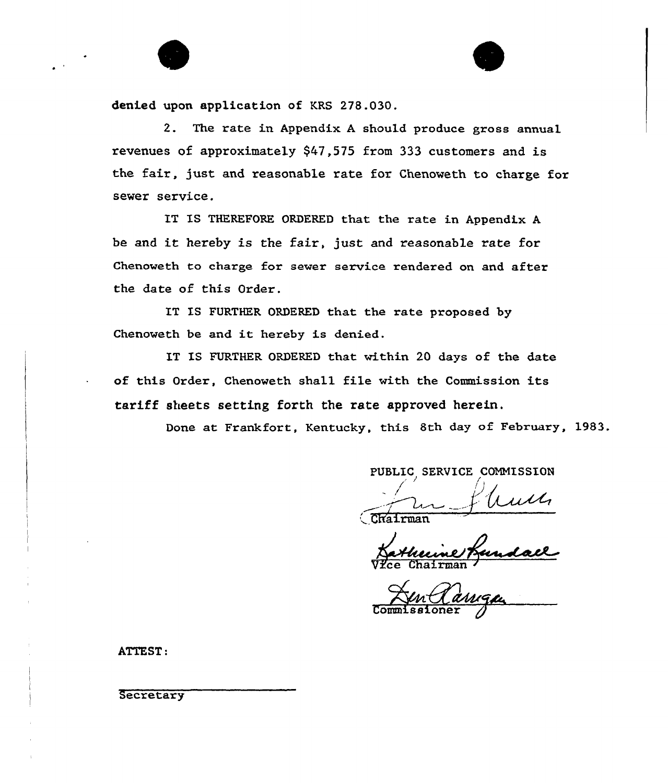

denied upon application of KRS 278.030.

2. The rate in Appendix. <sup>A</sup> should produce gross annual revenues of approximately \$47,575 from 333 customers and is the fair, just and reasonable rate for Chenoweth to charge for sewer service.

IT IS THEREFORE ORDERED that the rate in Appendix <sup>A</sup> be and it hereby is the fair, just and reasonable rate for Chenoweth to charge for sewer service rendered on and after the date of this Order.

IT IS FURTHER ORDERED that the rate proposed by Chenoweth be and it hereby is denied.

IT IS FURTHER ORDERED that within 20 days of the date of this Order, Chenoweth shall file with the Commission its tariff sheets setting forth the rate approved herein.

Done at Frankfort, Kentucky, this 8th day of February, 1983.

PUBLIC SERVICE COMMISSION

uun CRairma

Vice Chairman

anga Commissione

ATTEST:

**Secretary**